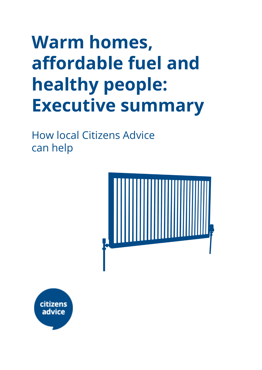# **Warm homes, affordable fuel and healthy people: Executive summary**

How local Citizens Advice can help



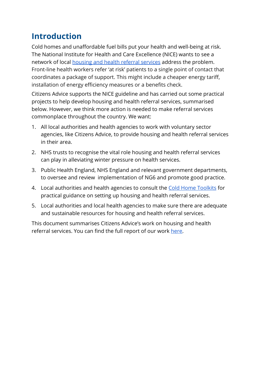### **Introduction**

Cold homes and unaffordable fuel bills put your health and well-being at risk. The National Institute for Health and Care Excellence (NICE) wants to see a network of local [housing and health referral services](https://www.nice.org.uk/guidance/ng6) address the problem. Front-line health workers refer 'at risk' patients to a single point of contact that coordinates a package of support. This might include a cheaper energy tariff, installation of energy efficiency measures or a benefits check.

Citizens Advice supports the NICE guideline and has carried out some practical projects to help develop housing and health referral services, summarised below. However, we think more action is needed to make referral services commonplace throughout the country. We want:

- 1. All local authorities and health agencies to work with voluntary sector agencies, like Citizens Advice, to provide housing and health referral services in their area.
- 2. NHS trusts to recognise the vital role housing and health referral services can play in alleviating winter pressure on health services.
- 3. Public Health England, NHS England and relevant government departments, to oversee and review implementation of NG6 and promote good practice.
- 4. Local authorities and health agencies to consult the [Cold Home Toolkits](https://www.citizensadvice.org.uk/about-us/how-we-provide-advice/advice-partnerships/cold-homes-toolkit/) for practical guidance on setting up housing and health referral services.
- 5. Local authorities and local health agencies to make sure there are adequate and sustainable resources for housing and health referral services.

This document summarises Citizens Advice's work on housing and health referral services. You can find the full report of our work [here.](https://drive.google.com/file/d/1zM0t-LWj2OEvKWJmkeyyTxKvhMVDUwy5/view?usp=sharing)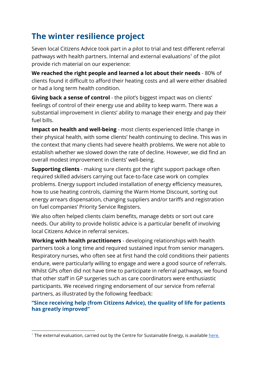## **The winter resilience project**

Seven local Citizens Advice took part in a pilot to trial and test different referral pathways with health partners. Internal and external evaluations<sup>1</sup> of the pilot provide rich material on our experience:

**We reached the right people and learned a lot about their needs** - 80% of clients found it difficult to afford their heating costs and all were either disabled or had a long term health condition.

**Giving back a sense of control** - the pilot's biggest impact was on clients' feelings of control of their energy use and ability to keep warm. There was a substantial improvement in clients' ability to manage their energy and pay their fuel bills.

**Impact on health and well-being** - most clients experienced little change in their physical health, with some clients' health continuing to decline. This was in the context that many clients had severe health problems. We were not able to establish whether we slowed down the rate of decline. However, we did find an overall modest improvement in clients' well-being.

**Supporting clients** - making sure clients got the right support package often required skilled advisers carrying out face-to-face case work on complex problems. Energy support included installation of energy efficiency measures, how to use heating controls, claiming the Warm Home Discount, sorting out energy arrears dispensation, changing suppliers and/or tariffs and registration on fuel companies' Priority Service Registers.

We also often helped clients claim benefits, manage debts or sort out care needs. Our ability to provide holistic advice is a particular benefit of involving local Citizens Advice in referral services.

**Working with health practitioners** - developing relationships with health partners took a long time and required sustained input from senior managers. Respiratory nurses, who often see at first hand the cold conditions their patients endure, were particularly willing to engage and were a good source of referrals. Whilst GPs often did not have time to participate in referral pathways, we found that other staff in GP surgeries such as care coordinators were enthusiastic participants. We received ringing endorsement of our service from referral partners, as illustrated by the following feedback:

#### **"Since receiving help (from Citizens Advice), the quality of life for patients has greatly improved"**

<sup>&</sup>lt;sup>1</sup> The external evaluation, carried out by the Centre for Sustainable Energy, is available [here.](https://drive.google.com/file/d/1NYi6Dz88-GGrrkJHwtKiVtPXDFS5jey1/view?usp=sharing)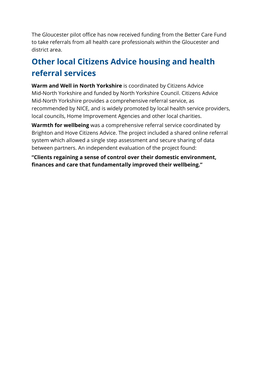The Gloucester pilot office has now received funding from the Better Care Fund to take referrals from all health care professionals within the Gloucester and district area.

## **Other local Citizens Advice housing and health referral services**

**Warm and Well in North Yorkshire** is coordinated by Citizens Advice Mid-North Yorkshire and funded by North Yorkshire Council. Citizens Advice Mid-North Yorkshire provides a comprehensive referral service, as recommended by NICE, and is widely promoted by local health service providers, local councils, Home Improvement Agencies and other local charities.

**Warmth for wellbeing** was a comprehensive referral service coordinated by Brighton and Hove Citizens Advice. The project included a shared online referral system which allowed a single step assessment and secure sharing of data between partners. An independent evaluation of the project found:

**"Clients regaining a sense of control over their domestic environment, finances and care that fundamentally improved their wellbeing."**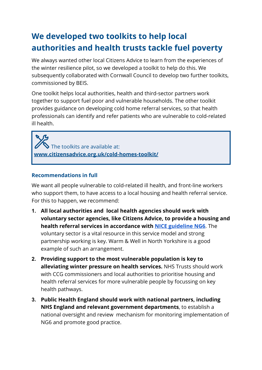## **We developed two toolkits to help local authorities and health trusts tackle fuel poverty**

We always wanted other local Citizens Advice to learn from the experiences of the winter resilience pilot, so we developed a toolkit to help do this. We subsequently collaborated with Cornwall Council to develop two further toolkits, commissioned by BEIS.

One toolkit helps local authorities, health and third-sector partners work together to support fuel poor and vulnerable households. The other toolkit provides guidance on developing cold home referral services, so that health professionals can identify and refer patients who are vulnerable to cold-related ill health.

 The toolkits are available at: **[www.citizensadvice.org.uk/cold-homes-toolkit/](https://www.citizensadvice.org.uk/cold-homes-toolkit/)**

#### **Recommendations in full**

We want all people vulnerable to cold-related ill health, and front-line workers who support them, to have access to a local housing and health referral service. For this to happen, we recommend:

- **1. All local authorities and local health agencies should work with voluntary sector agencies, like Citizens Advice, to provide a housing and health referral services in accordance with [NICE guideline NG6](https://www.nice.org.uk/guidance/ng6)**. The voluntary sector is a vital resource in this service model and strong partnership working is key. Warm & Well in North Yorkshire is a good example of such an arrangement.
- **2. Providing support to the most vulnerable population is key to alleviating winter pressure on health services.** NHS Trusts should work with CCG commissioners and local authorities to prioritise housing and health referral services for more vulnerable people by focussing on key health pathways.
- **3. Public Health England should work with national partners, including NHS England and relevant government departments**, to establish a national oversight and review mechanism for monitoring implementation of NG6 and promote good practice.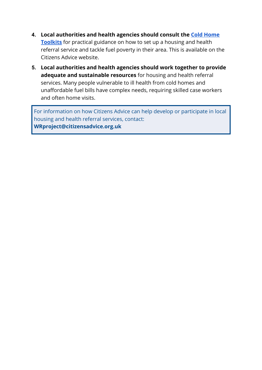- **4. Local authorities and health agencies should consult the [Cold Home](https://www.citizensadvice.org.uk/about-us/how-we-provide-advice/advice-partnerships/cold-homes-toolkit/) [Toolkits](https://www.citizensadvice.org.uk/about-us/how-we-provide-advice/advice-partnerships/cold-homes-toolkit/)** for practical guidance on how to set up a housing and health referral service and tackle fuel poverty in their area. This is available on the Citizens Advice website.
- **5. Local authorities and health agencies should work together to provide adequate and sustainable resources** for housing and health referral services. Many people vulnerable to ill health from cold homes and unaffordable fuel bills have complex needs, requiring skilled case workers and often home visits.

For information on how Citizens Advice can help develop or participate in local housing and health referral services, contact: **WRproject@citizensadvice.org.uk**